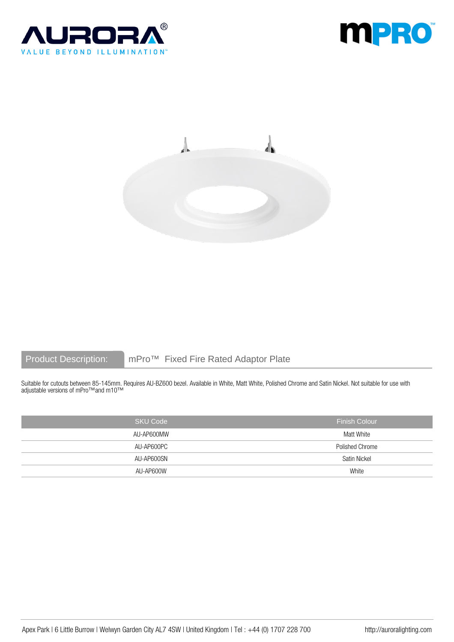





Product Description: mPro™ Fixed Fire Rated Adaptor Plate

Suitable for cutouts between 85-145mm. Requires AU-BZ600 bezel. Available in White, Matt White, Polished Chrome and Satin Nickel. Not suitable for use with adjustable versions of mPro™and m10™

| <b>SKU Code</b> | <b>Finish Colour</b> |
|-----------------|----------------------|
| AU-AP600MW      | Matt White           |
| AU-AP600PC      | Polished Chrome      |
| AU-AP600SN      | Satin Nickel         |
| AU-AP600W       | White                |